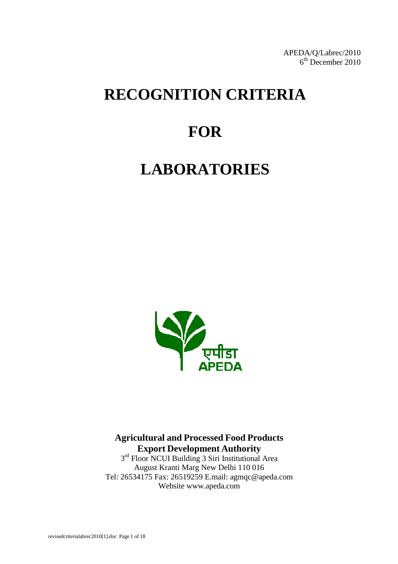APEDA/Q/Labrec/2010 6<sup>th</sup> December 2010

# **RECOGNITION CRITERIA**

# **FOR**

# **LABORATORIES**



**Agricultural and Processed Food Products Export Development Authority**

3<sup>rd</sup> Floor NCUI Building 3 Siri Institutional Area August Kranti Marg New Delhi 110 016 Tel: 26534175 Fax: 26519259 E.mail: agmq[c@apeda.com](mailto:qmc@apeda.com) Website [www.apeda.com](http://www.apeda.com/)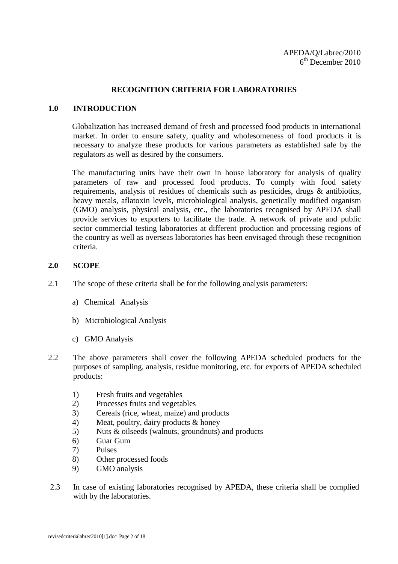#### **RECOGNITION CRITERIA FOR LABORATORIES**

#### **1.0 INTRODUCTION**

Globalization has increased demand of fresh and processed food products in international market. In order to ensure safety, quality and wholesomeness of food products it is necessary to analyze these products for various parameters as established safe by the regulators as well as desired by the consumers.

The manufacturing units have their own in house laboratory for analysis of quality parameters of raw and processed food products. To comply with food safety requirements, analysis of residues of chemicals such as pesticides, drugs & antibiotics, heavy metals, aflatoxin levels, microbiological analysis, genetically modified organism (GMO) analysis, physical analysis, etc., the laboratories recognised by APEDA shall provide services to exporters to facilitate the trade. A network of private and public sector commercial testing laboratories at different production and processing regions of the country as well as overseas laboratories has been envisaged through these recognition criteria.

#### **2.0 SCOPE**

- 2.1 The scope of these criteria shall be for the following analysis parameters:
	- a) Chemical Analysis
	- b) Microbiological Analysis
	- c) GMO Analysis
- 2.2 The above parameters shall cover the following APEDA scheduled products for the purposes of sampling, analysis, residue monitoring, etc. for exports of APEDA scheduled products:
	- 1) Fresh fruits and vegetables
	- 2) Processes fruits and vegetables
	- 3) Cereals (rice, wheat, maize) and products
	- 4) Meat, poultry, dairy products & honey
	- 5) Nuts & oilseeds (walnuts, groundnuts) and products
	- 6) Guar Gum
	- 7) Pulses
	- 8) Other processed foods
	- 9) GMO analysis
- 2.3 In case of existing laboratories recognised by APEDA, these criteria shall be complied with by the laboratories.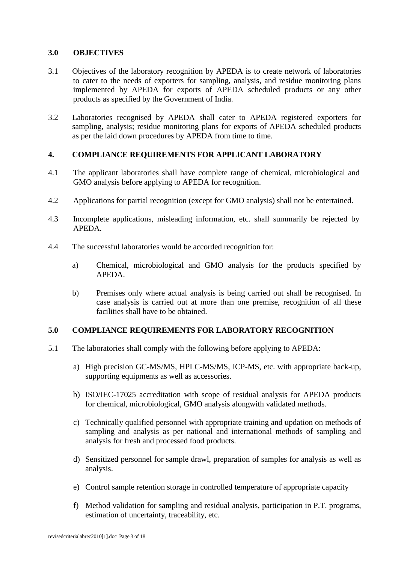#### **3.0 OBJECTIVES**

- 3.1 Objectives of the laboratory recognition by APEDA is to create network of laboratories to cater to the needs of exporters for sampling, analysis, and residue monitoring plans implemented by APEDA for exports of APEDA scheduled products or any other products as specified by the Government of India.
- 3.2 Laboratories recognised by APEDA shall cater to APEDA registered exporters for sampling, analysis; residue monitoring plans for exports of APEDA scheduled products as per the laid down procedures by APEDA from time to time.

# **4. COMPLIANCE REQUIREMENTS FOR APPLICANT LABORATORY**

- 4.1 The applicant laboratories shall have complete range of chemical, microbiological and GMO analysis before applying to APEDA for recognition.
- 4.2 Applications for partial recognition (except for GMO analysis) shall not be entertained.
- 4.3 Incomplete applications, misleading information, etc. shall summarily be rejected by APEDA.
- 4.4 The successful laboratories would be accorded recognition for:
	- a) Chemical, microbiological and GMO analysis for the products specified by APEDA.
	- b) Premises only where actual analysis is being carried out shall be recognised. In case analysis is carried out at more than one premise, recognition of all these facilities shall have to be obtained.

# **5.0 COMPLIANCE REQUIREMENTS FOR LABORATORY RECOGNITION**

- 5.1 The laboratories shall comply with the following before applying to APEDA:
	- a) High precision GC-MS/MS, HPLC-MS/MS, ICP-MS, etc. with appropriate back-up, supporting equipments as well as accessories.
	- b) ISO/IEC-17025 accreditation with scope of residual analysis for APEDA products for chemical, microbiological, GMO analysis alongwith validated methods.
	- c) Technically qualified personnel with appropriate training and updation on methods of sampling and analysis as per national and international methods of sampling and analysis for fresh and processed food products.
	- d) Sensitized personnel for sample drawl, preparation of samples for analysis as well as analysis.
	- e) Control sample retention storage in controlled temperature of appropriate capacity
	- f) Method validation for sampling and residual analysis, participation in P.T. programs, estimation of uncertainty, traceability, etc.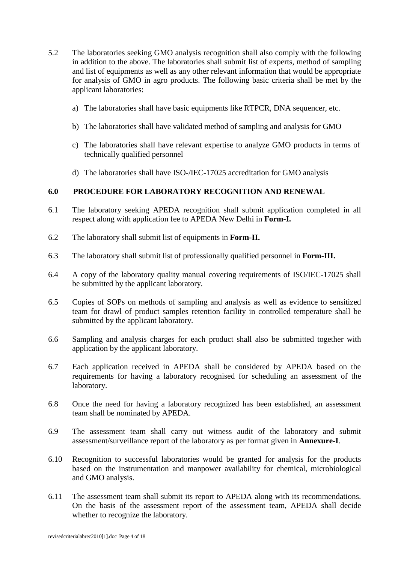- 5.2 The laboratories seeking GMO analysis recognition shall also comply with the following in addition to the above. The laboratories shall submit list of experts, method of sampling and list of equipments as well as any other relevant information that would be appropriate for analysis of GMO in agro products. The following basic criteria shall be met by the applicant laboratories:
	- a) The laboratories shall have basic equipments like RTPCR, DNA sequencer, etc.
	- b) The laboratories shall have validated method of sampling and analysis for GMO
	- c) The laboratories shall have relevant expertise to analyze GMO products in terms of technically qualified personnel
	- d) The laboratories shall have ISO-/IEC-17025 accreditation for GMO analysis

#### **6.0 PROCEDURE FOR LABORATORY RECOGNITION AND RENEWAL**

- 6.1 The laboratory seeking APEDA recognition shall submit application completed in all respect along with application fee to APEDA New Delhi in **Form-I.**
- 6.2 The laboratory shall submit list of equipments in **Form-II.**
- 6.3 The laboratory shall submit list of professionally qualified personnel in **Form-III.**
- 6.4 A copy of the laboratory quality manual covering requirements of ISO/IEC-17025 shall be submitted by the applicant laboratory.
- 6.5 Copies of SOPs on methods of sampling and analysis as well as evidence to sensitized team for drawl of product samples retention facility in controlled temperature shall be submitted by the applicant laboratory.
- 6.6 Sampling and analysis charges for each product shall also be submitted together with application by the applicant laboratory.
- 6.7 Each application received in APEDA shall be considered by APEDA based on the requirements for having a laboratory recognised for scheduling an assessment of the laboratory.
- 6.8 Once the need for having a laboratory recognized has been established, an assessment team shall be nominated by APEDA.
- 6.9 The assessment team shall carry out witness audit of the laboratory and submit assessment/surveillance report of the laboratory as per format given in **Annexure-I**.
- 6.10 Recognition to successful laboratories would be granted for analysis for the products based on the instrumentation and manpower availability for chemical, microbiological and GMO analysis.
- 6.11 The assessment team shall submit its report to APEDA along with its recommendations. On the basis of the assessment report of the assessment team, APEDA shall decide whether to recognize the laboratory.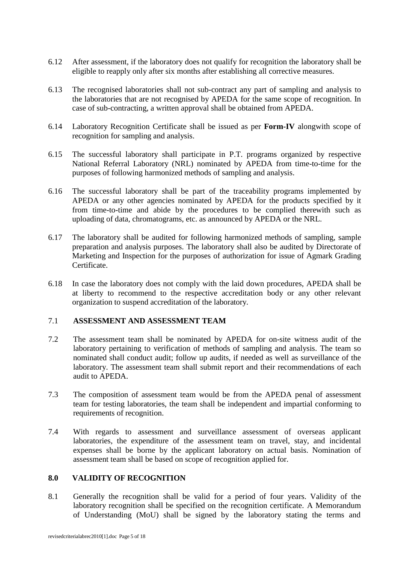- 6.12 After assessment, if the laboratory does not qualify for recognition the laboratory shall be eligible to reapply only after six months after establishing all corrective measures.
- 6.13 The recognised laboratories shall not sub-contract any part of sampling and analysis to the laboratories that are not recognised by APEDA for the same scope of recognition. In case of sub-contracting, a written approval shall be obtained from APEDA.
- 6.14 Laboratory Recognition Certificate shall be issued as per **Form-IV** alongwith scope of recognition for sampling and analysis.
- 6.15 The successful laboratory shall participate in P.T. programs organized by respective National Referral Laboratory (NRL) nominated by APEDA from time-to-time for the purposes of following harmonized methods of sampling and analysis.
- 6.16 The successful laboratory shall be part of the traceability programs implemented by APEDA or any other agencies nominated by APEDA for the products specified by it from time-to-time and abide by the procedures to be complied therewith such as uploading of data, chromatograms, etc. as announced by APEDA or the NRL.
- 6.17 The laboratory shall be audited for following harmonized methods of sampling, sample preparation and analysis purposes. The laboratory shall also be audited by Directorate of Marketing and Inspection for the purposes of authorization for issue of Agmark Grading Certificate.
- 6.18 In case the laboratory does not comply with the laid down procedures, APEDA shall be at liberty to recommend to the respective accreditation body or any other relevant organization to suspend accreditation of the laboratory.

#### 7.1 **ASSESSMENT AND ASSESSMENT TEAM**

- 7.2 The assessment team shall be nominated by APEDA for on-site witness audit of the laboratory pertaining to verification of methods of sampling and analysis. The team so nominated shall conduct audit; follow up audits, if needed as well as surveillance of the laboratory. The assessment team shall submit report and their recommendations of each audit to APEDA.
- 7.3 The composition of assessment team would be from the APEDA penal of assessment team for testing laboratories, the team shall be independent and impartial conforming to requirements of recognition.
- 7.4 With regards to assessment and surveillance assessment of overseas applicant laboratories, the expenditure of the assessment team on travel, stay, and incidental expenses shall be borne by the applicant laboratory on actual basis. Nomination of assessment team shall be based on scope of recognition applied for.

# **8.0 VALIDITY OF RECOGNITION**

8.1 Generally the recognition shall be valid for a period of four years. Validity of the laboratory recognition shall be specified on the recognition certificate. A Memorandum of Understanding (MoU) shall be signed by the laboratory stating the terms and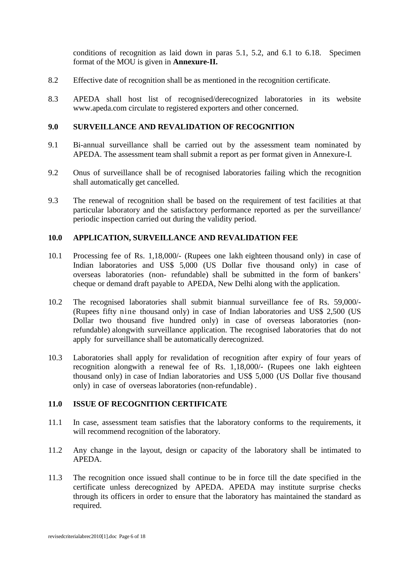conditions of recognition as laid down in paras 5.1, 5.2, and 6.1 to 6.18. Specimen format of the MOU is given in **Annexure-II.**

- 8.2 Effective date of recognition shall be as mentioned in the recognition certificate.
- 8.3 APEDA shall host list of recognised/derecognized laboratories in its website [www.apeda.com](http://www.apeda.com/) circulate to registered exporters and other concerned.

#### **9.0 SURVEILLANCE AND REVALIDATION OF RECOGNITION**

- 9.1 Bi-annual surveillance shall be carried out by the assessment team nominated by APEDA. The assessment team shall submit a report as per format given in Annexure-I.
- 9.2 Onus of surveillance shall be of recognised laboratories failing which the recognition shall automatically get cancelled.
- 9.3 The renewal of recognition shall be based on the requirement of test facilities at that particular laboratory and the satisfactory performance reported as per the surveillance/ periodic inspection carried out during the validity period.

#### **10.0 APPLICATION, SURVEILLANCE AND REVALIDATION FEE**

- 10.1 Processing fee of Rs. 1,18,000/- (Rupees one lakh eighteen thousand only) in case of Indian laboratories and US\$ 5,000 (US Dollar five thousand only) in case of overseas laboratories (non- refundable) shall be submitted in the form of bankers' cheque or demand draft payable to APEDA, New Delhi along with the application.
- 10.2 The recognised laboratories shall submit biannual surveillance fee of Rs. 59,000/- (Rupees fifty nine thousand only) in case of Indian laboratories and US\$ 2,500 (US Dollar two thousand five hundred only) in case of overseas laboratories (nonrefundable) alongwith surveillance application. The recognised laboratories that do not apply for surveillance shall be automatically derecognized.
- 10.3 Laboratories shall apply for revalidation of recognition after expiry of four years of recognition alongwith a renewal fee of Rs. 1,18,000/- (Rupees one lakh eighteen thousand only) in case of Indian laboratories and US\$ 5,000 (US Dollar five thousand only) in case of overseas laboratories (non-refundable) .

#### **11.0 ISSUE OF RECOGNITION CERTIFICATE**

- 11.1 In case, assessment team satisfies that the laboratory conforms to the requirements, it will recommend recognition of the laboratory.
- 11.2 Any change in the layout, design or capacity of the laboratory shall be intimated to APEDA.
- 11.3 The recognition once issued shall continue to be in force till the date specified in the certificate unless derecognized by APEDA. APEDA may institute surprise checks through its officers in order to ensure that the laboratory has maintained the standard as required.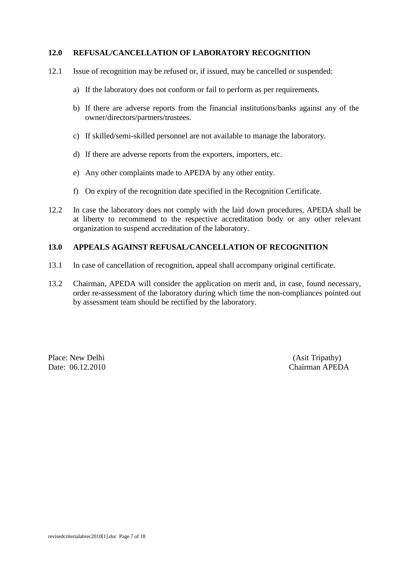#### **12.0 REFUSAL/CANCELLATION OF LABORATORY RECOGNITION**

- 12.1 Issue of recognition may be refused or, if issued, may be cancelled or suspended:
	- a) If the laboratory does not conform or fail to perform as per requirements.
	- b) If there are adverse reports from the financial institutions/banks against any of the owner/directors/partners/trustees.
	- c) If skilled/semi-skilled personnel are not available to manage the laboratory.
	- d) If there are adverse reports from the exporters, importers, etc.
	- e) Any other complaints made to APEDA by any other entity.
	- f) On expiry of the recognition date specified in the Recognition Certificate.
- 12.2 In case the laboratory does not comply with the laid down procedures, APEDA shall be at liberty to recommend to the respective accreditation body or any other relevant organization to suspend accreditation of the laboratory.

#### **13.0 APPEALS AGAINST REFUSAL/CANCELLATION OF RECOGNITION**

- 13.1 In case of cancellation of recognition, appeal shall accompany original certificate.
- 13.2 Chairman, APEDA will consider the application on merit and, in case, found necessary, order re-assessment of the laboratory during which time the non-compliances pointed out by assessment team should be rectified by the laboratory.

Place: New Delhi (Asit Tripathy)

Date: 06.12.2010 Chairman APEDA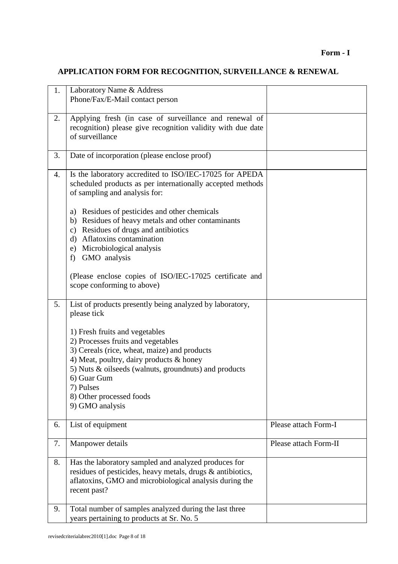# **APPLICATION FORM FOR RECOGNITION, SURVEILLANCE & RENEWAL**

| 1. | Laboratory Name & Address<br>Phone/Fax/E-Mail contact person                                                                                                                                                                                                                                         |                       |
|----|------------------------------------------------------------------------------------------------------------------------------------------------------------------------------------------------------------------------------------------------------------------------------------------------------|-----------------------|
| 2. | Applying fresh (in case of surveillance and renewal of<br>recognition) please give recognition validity with due date<br>of surveillance                                                                                                                                                             |                       |
| 3. | Date of incorporation (please enclose proof)                                                                                                                                                                                                                                                         |                       |
| 4. | Is the laboratory accredited to ISO/IEC-17025 for APEDA<br>scheduled products as per internationally accepted methods<br>of sampling and analysis for:                                                                                                                                               |                       |
|    | Residues of pesticides and other chemicals<br>a)<br>Residues of heavy metals and other contaminants<br>b)<br>Residues of drugs and antibiotics<br>$\mathbf{c})$<br>Aflatoxins contamination<br>$\rm d$<br>Microbiological analysis<br>e)<br>GMO analysis<br>f)                                       |                       |
|    | (Please enclose copies of ISO/IEC-17025 certificate and<br>scope conforming to above)                                                                                                                                                                                                                |                       |
| 5. | List of products presently being analyzed by laboratory,<br>please tick                                                                                                                                                                                                                              |                       |
|    | 1) Fresh fruits and vegetables<br>2) Processes fruits and vegetables<br>3) Cereals (rice, wheat, maize) and products<br>4) Meat, poultry, dairy products & honey<br>5) Nuts & oilseeds (walnuts, groundnuts) and products<br>6) Guar Gum<br>7) Pulses<br>8) Other processed foods<br>9) GMO analysis |                       |
| 6. | List of equipment                                                                                                                                                                                                                                                                                    | Please attach Form-I  |
| 7. | Manpower details                                                                                                                                                                                                                                                                                     | Please attach Form-II |
| 8. | Has the laboratory sampled and analyzed produces for<br>residues of pesticides, heavy metals, drugs & antibiotics,<br>aflatoxins, GMO and microbiological analysis during the<br>recent past?                                                                                                        |                       |
| 9. | Total number of samples analyzed during the last three<br>years pertaining to products at Sr. No. 5                                                                                                                                                                                                  |                       |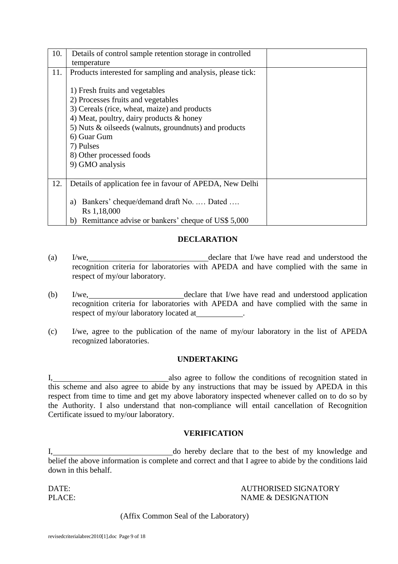| 10. | Details of control sample retention storage in controlled   |  |  |
|-----|-------------------------------------------------------------|--|--|
|     | temperature                                                 |  |  |
| 11. | Products interested for sampling and analysis, please tick: |  |  |
|     |                                                             |  |  |
|     | 1) Fresh fruits and vegetables                              |  |  |
|     | 2) Processes fruits and vegetables                          |  |  |
|     | 3) Cereals (rice, wheat, maize) and products                |  |  |
|     | 4) Meat, poultry, dairy products $\&$ honey                 |  |  |
|     | 5) Nuts & oilseeds (walnuts, groundnuts) and products       |  |  |
|     | 6) Guar Gum                                                 |  |  |
|     | 7) Pulses                                                   |  |  |
|     | 8) Other processed foods                                    |  |  |
|     | 9) GMO analysis                                             |  |  |
|     |                                                             |  |  |
| 12. | Details of application fee in favour of APEDA, New Delhi    |  |  |
|     |                                                             |  |  |
|     | Bankers' cheque/demand draft No.  Dated<br>a)               |  |  |
|     | Rs 1,18,000                                                 |  |  |
|     | Remittance advise or bankers' cheque of US\$ 5,000<br>b)    |  |  |

### **DECLARATION**

- (a) I/we, 120 and 200 and 200 and 200 and 200 and 200 and 200 and 200 and 200 and 200 and 200 and 200 and 200 and 200 and 200 and 200 and 200 and 200 and 200 and 200 and 200 and 200 and 200 and 200 and 200 and 200 and 200 recognition criteria for laboratories with APEDA and have complied with the same in respect of my/our laboratory.
- (b) I/we, declare that I/we have read and understood application recognition criteria for laboratories with APEDA and have complied with the same in respect of my/our laboratory located at .
- (c) I/we, agree to the publication of the name of my/our laboratory in the list of APEDA recognized laboratories.

#### **UNDERTAKING**

I, also agree to follow the conditions of recognition stated in this scheme and also agree to abide by any instructions that may be issued by APEDA in this respect from time to time and get my above laboratory inspected whenever called on to do so by the Authority. I also understand that non-compliance will entail cancellation of Recognition Certificate issued to my/our laboratory.

#### **VERIFICATION**

I, 1. 2012 1. [1] do hereby declare that to the best of my knowledge and belief the above information is complete and correct and that I agree to abide by the conditions laid down in this behalf.

#### DATE: AUTHORISED SIGNATORY PLACE: NAME & DESIGNATION

(Affix Common Seal of the Laboratory)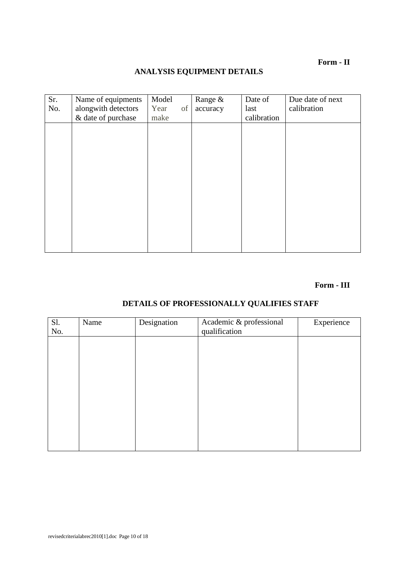**Form - II**

# **ANALYSIS EQUIPMENT DETAILS**

| Sr. | Name of equipments  | Model      | Range &  | Date of     | Due date of next |
|-----|---------------------|------------|----------|-------------|------------------|
| No. | alongwith detectors | of<br>Year | accuracy | last        | calibration      |
|     | & date of purchase  | make       |          | calibration |                  |
|     |                     |            |          |             |                  |
|     |                     |            |          |             |                  |
|     |                     |            |          |             |                  |
|     |                     |            |          |             |                  |
|     |                     |            |          |             |                  |
|     |                     |            |          |             |                  |
|     |                     |            |          |             |                  |
|     |                     |            |          |             |                  |
|     |                     |            |          |             |                  |
|     |                     |            |          |             |                  |
|     |                     |            |          |             |                  |
|     |                     |            |          |             |                  |
|     |                     |            |          |             |                  |
|     |                     |            |          |             |                  |

# **Form - III**

# **DETAILS OF PROFESSIONALLY QUALIFIES STAFF**

| Sl.<br>No. | Name | Designation | Academic & professional<br>qualification | Experience |
|------------|------|-------------|------------------------------------------|------------|
|            |      |             |                                          |            |
|            |      |             |                                          |            |
|            |      |             |                                          |            |
|            |      |             |                                          |            |
|            |      |             |                                          |            |
|            |      |             |                                          |            |
|            |      |             |                                          |            |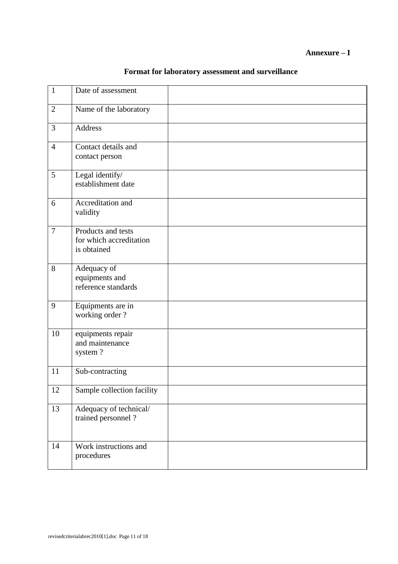| Format for laboratory assessment and surveillance |
|---------------------------------------------------|
|---------------------------------------------------|

| $\mathbf{1}$   | Date of assessment                                           |  |
|----------------|--------------------------------------------------------------|--|
| $\mathbf{2}$   | Name of the laboratory                                       |  |
| 3              | Address                                                      |  |
| $\overline{4}$ | Contact details and<br>contact person                        |  |
| 5              | Legal identify/<br>establishment date                        |  |
| 6              | Accreditation and<br>validity                                |  |
| $\overline{7}$ | Products and tests<br>for which accreditation<br>is obtained |  |
| 8              | Adequacy of<br>equipments and<br>reference standards         |  |
| 9              | Equipments are in<br>working order?                          |  |
| 10             | equipments repair<br>and maintenance<br>system?              |  |
| 11             | Sub-contracting                                              |  |
| 12             | Sample collection facility                                   |  |
| 13             | Adequacy of technical/<br>trained personnel ?                |  |
| 14             | Work instructions and<br>procedures                          |  |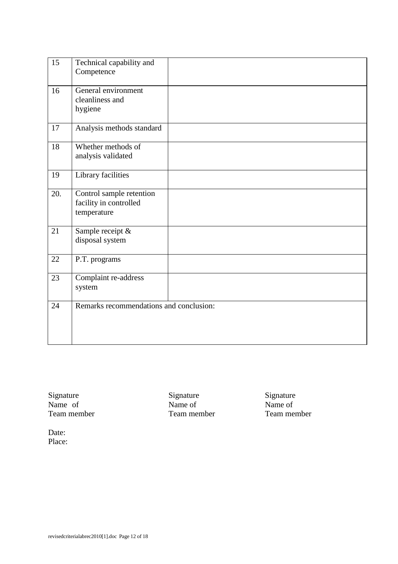| 15  | Technical capability and<br>Competence                            |  |
|-----|-------------------------------------------------------------------|--|
| 16  | General environment<br>cleanliness and<br>hygiene                 |  |
| 17  | Analysis methods standard                                         |  |
| 18  | Whether methods of<br>analysis validated                          |  |
| 19  | Library facilities                                                |  |
| 20. | Control sample retention<br>facility in controlled<br>temperature |  |
| 21  | Sample receipt &<br>disposal system                               |  |
| 22  | P.T. programs                                                     |  |
| 23  | Complaint re-address<br>system                                    |  |
| 24  | Remarks recommendations and conclusion:                           |  |

Signature Name of Team member

Signature Name of Team member

Signature Name of Team member

Date: Place: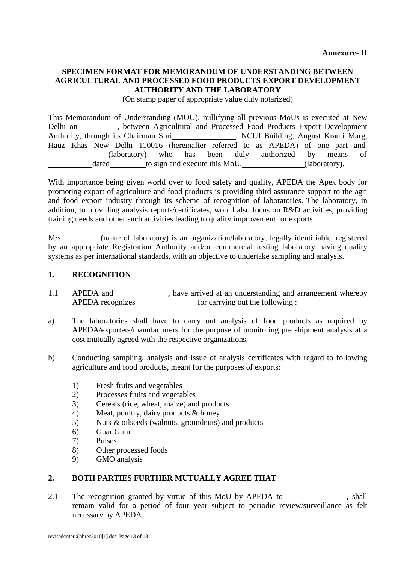#### **SPECIMEN FORMAT FOR MEMORANDUM OF UNDERSTANDING BETWEEN AGRICULTURAL AND PROCESSED FOOD PRODUCTS EXPORT DEVELOPMENT AUTHORITY AND THE LABORATORY**

(On stamp paper of appropriate value duly notarized)

This Memorandum of Understanding (MOU), nullifying all previous MoUs is executed at New Delhi on , between Agricultural and Processed Food Products Export Development Authority, through its Chairman Shri , NCUI Building, August Kranti Marg, Hauz Khas New Delhi 110016 (hereinafter referred to as APEDA) of one part and (laboratory) who has been duly authorized by means of dated to sign and execute this MoU, (laboratory).

With importance being given world over to food safety and quality, APEDA the Apex body for promoting export of agriculture and food products is providing third assurance support to the agri and food export industry through its scheme of recognition of laboratories. The laboratory, in addition, to providing analysis reports/certificates, would also focus on R&D activities, providing training needs and other such activities leading to quality improvement for exports.

M/s (name of laboratory) is an organization/laboratory, legally identifiable, registered by an appropriate Registration Authority and/or commercial testing laboratory having quality systems as per international standards, with an objective to undertake sampling and analysis.

# **1. RECOGNITION**

- 1.1 APEDA and 1.1 APEDA and 1.1 APEDA and 1.1 APEDA and 1.1 APEDA and 1.1 APEDA and 1.1 APEDA and 1.1 APEDA and 1.1 APEDA and 1.1 APEDA and 1.1 APEDA and 1.1 APEDA and 1.1 APEDA and 1.1 APEDA and 1.1 APEDA and 1.1 APEDA an APEDA recognizes for carrying out the following :
- a) The laboratories shall have to carry out analysis of food products as required by APEDA/exporters/manufacturers for the purpose of monitoring pre shipment analysis at a cost mutually agreed with the respective organizations.
- b) Conducting sampling, analysis and issue of analysis certificates with regard to following agriculture and food products, meant for the purposes of exports:
	- 1) Fresh fruits and vegetables
	- 2) Processes fruits and vegetables
	- 3) Cereals (rice, wheat, maize) and products
	- 4) Meat, poultry, dairy products & honey
	- 5) Nuts & oilseeds (walnuts, groundnuts) and products
	- 6) Guar Gum
	- 7) Pulses
	- 8) Other processed foods
	- 9) GMO analysis

# **2. BOTH PARTIES FURTHER MUTUALLY AGREE THAT**

2.1 The recognition granted by virtue of this MoU by APEDA to \_\_\_\_\_\_\_\_\_\_\_\_\_, shall remain valid for a period of four year subject to periodic review/surveillance as felt necessary by APEDA.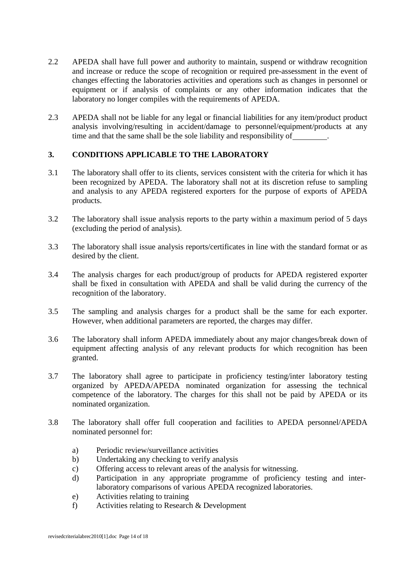- 2.2 APEDA shall have full power and authority to maintain, suspend or withdraw recognition and increase or reduce the scope of recognition or required pre-assessment in the event of changes effecting the laboratories activities and operations such as changes in personnel or equipment or if analysis of complaints or any other information indicates that the laboratory no longer compiles with the requirements of APEDA.
- 2.3 APEDA shall not be liable for any legal or financial liabilities for any item/product product analysis involving/resulting in accident/damage to personnel/equipment/products at any time and that the same shall be the sole liability and responsibility of .

#### **3. CONDITIONS APPLICABLE TO THE LABORATORY**

- 3.1 The laboratory shall offer to its clients, services consistent with the criteria for which it has been recognized by APEDA. The laboratory shall not at its discretion refuse to sampling and analysis to any APEDA registered exporters for the purpose of exports of APEDA products.
- 3.2 The laboratory shall issue analysis reports to the party within a maximum period of 5 days (excluding the period of analysis).
- 3.3 The laboratory shall issue analysis reports/certificates in line with the standard format or as desired by the client.
- 3.4 The analysis charges for each product/group of products for APEDA registered exporter shall be fixed in consultation with APEDA and shall be valid during the currency of the recognition of the laboratory.
- 3.5 The sampling and analysis charges for a product shall be the same for each exporter. However, when additional parameters are reported, the charges may differ.
- 3.6 The laboratory shall inform APEDA immediately about any major changes/break down of equipment affecting analysis of any relevant products for which recognition has been granted.
- 3.7 The laboratory shall agree to participate in proficiency testing/inter laboratory testing organized by APEDA/APEDA nominated organization for assessing the technical competence of the laboratory. The charges for this shall not be paid by APEDA or its nominated organization.
- 3.8 The laboratory shall offer full cooperation and facilities to APEDA personnel/APEDA nominated personnel for:
	- a) Periodic review/surveillance activities
	- b) Undertaking any checking to verify analysis
	- c) Offering access to relevant areas of the analysis for witnessing.
	- d) Participation in any appropriate programme of proficiency testing and interlaboratory comparisons of various APEDA recognized laboratories.
	- e) Activities relating to training
	- f) Activities relating to Research & Development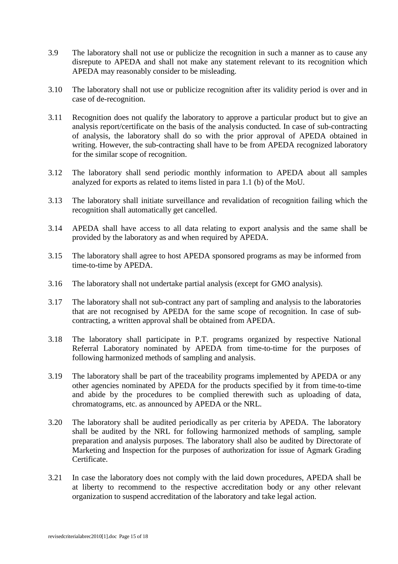- 3.9 The laboratory shall not use or publicize the recognition in such a manner as to cause any disrepute to APEDA and shall not make any statement relevant to its recognition which APEDA may reasonably consider to be misleading.
- 3.10 The laboratory shall not use or publicize recognition after its validity period is over and in case of de-recognition.
- 3.11 Recognition does not qualify the laboratory to approve a particular product but to give an analysis report/certificate on the basis of the analysis conducted. In case of sub-contracting of analysis, the laboratory shall do so with the prior approval of APEDA obtained in writing. However, the sub-contracting shall have to be from APEDA recognized laboratory for the similar scope of recognition.
- 3.12 The laboratory shall send periodic monthly information to APEDA about all samples analyzed for exports as related to items listed in para 1.1 (b) of the MoU.
- 3.13 The laboratory shall initiate surveillance and revalidation of recognition failing which the recognition shall automatically get cancelled.
- 3.14 APEDA shall have access to all data relating to export analysis and the same shall be provided by the laboratory as and when required by APEDA.
- 3.15 The laboratory shall agree to host APEDA sponsored programs as may be informed from time-to-time by APEDA.
- 3.16 The laboratory shall not undertake partial analysis (except for GMO analysis).
- 3.17 The laboratory shall not sub-contract any part of sampling and analysis to the laboratories that are not recognised by APEDA for the same scope of recognition. In case of subcontracting, a written approval shall be obtained from APEDA.
- 3.18 The laboratory shall participate in P.T. programs organized by respective National Referral Laboratory nominated by APEDA from time-to-time for the purposes of following harmonized methods of sampling and analysis.
- 3.19 The laboratory shall be part of the traceability programs implemented by APEDA or any other agencies nominated by APEDA for the products specified by it from time-to-time and abide by the procedures to be complied therewith such as uploading of data, chromatograms, etc. as announced by APEDA or the NRL.
- 3.20 The laboratory shall be audited periodically as per criteria by APEDA. The laboratory shall be audited by the NRL for following harmonized methods of sampling, sample preparation and analysis purposes. The laboratory shall also be audited by Directorate of Marketing and Inspection for the purposes of authorization for issue of Agmark Grading Certificate.
- 3.21 In case the laboratory does not comply with the laid down procedures, APEDA shall be at liberty to recommend to the respective accreditation body or any other relevant organization to suspend accreditation of the laboratory and take legal action.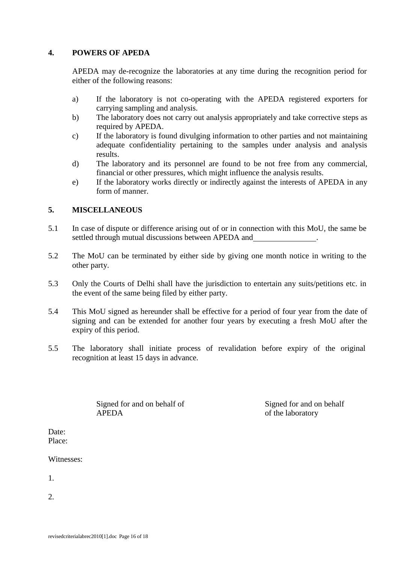#### **4. POWERS OF APEDA**

APEDA may de-recognize the laboratories at any time during the recognition period for either of the following reasons:

- a) If the laboratory is not co-operating with the APEDA registered exporters for carrying sampling and analysis.
- b) The laboratory does not carry out analysis appropriately and take corrective steps as required by APEDA.
- c) If the laboratory is found divulging information to other parties and not maintaining adequate confidentiality pertaining to the samples under analysis and analysis results.
- d) The laboratory and its personnel are found to be not free from any commercial, financial or other pressures, which might influence the analysis results.
- e) If the laboratory works directly or indirectly against the interests of APEDA in any form of manner.

# **5. MISCELLANEOUS**

- 5.1 In case of dispute or difference arising out of or in connection with this MoU, the same be settled through mutual discussions between APEDA and .
- 5.2 The MoU can be terminated by either side by giving one month notice in writing to the other party.
- 5.3 Only the Courts of Delhi shall have the jurisdiction to entertain any suits/petitions etc. in the event of the same being filed by either party.
- 5.4 This MoU signed as hereunder shall be effective for a period of four year from the date of signing and can be extended for another four years by executing a fresh MoU after the expiry of this period.
- 5.5 The laboratory shall initiate process of revalidation before expiry of the original recognition at least 15 days in advance.

Signed for and on behalf of Signed for and on behalf APEDA of the laboratory

Date: Place:

Witnesses:

1.

2.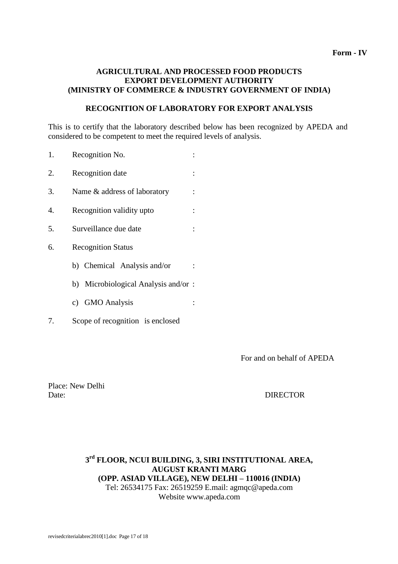#### **AGRICULTURAL AND PROCESSED FOOD PRODUCTS EXPORT DEVELOPMENT AUTHORITY (MINISTRY OF COMMERCE & INDUSTRY GOVERNMENT OF INDIA)**

#### **RECOGNITION OF LABORATORY FOR EXPORT ANALYSIS**

This is to certify that the laboratory described below has been recognized by APEDA and considered to be competent to meet the required levels of analysis.

- 1. Recognition No. :
- 2. Recognition date :
- 3. Name & address of laboratory :
- 4. Recognition validity upto :
- 5. Surveillance due date :
- 6. Recognition Status
	- b) Chemical Analysis and/or :
	- b) Microbiological Analysis and/or :
	- c) GMO Analysis :
- 7. Scope of recognition is enclosed

For and on behalf of APEDA

Place: New Delhi Date: DIRECTOR

#### **3 rd FLOOR, NCUI BUILDING, 3, SIRI INSTITUTIONAL AREA, AUGUST KRANTI MARG (OPP. ASIAD VILLAGE), NEW DELHI – 110016 (INDIA)** Tel: 26534175 Fax: 26519259 E.mail: agmq[c@apeda.com](mailto:qmc@apeda.com) Website [www.apeda.com](http://www.apeda.com/)